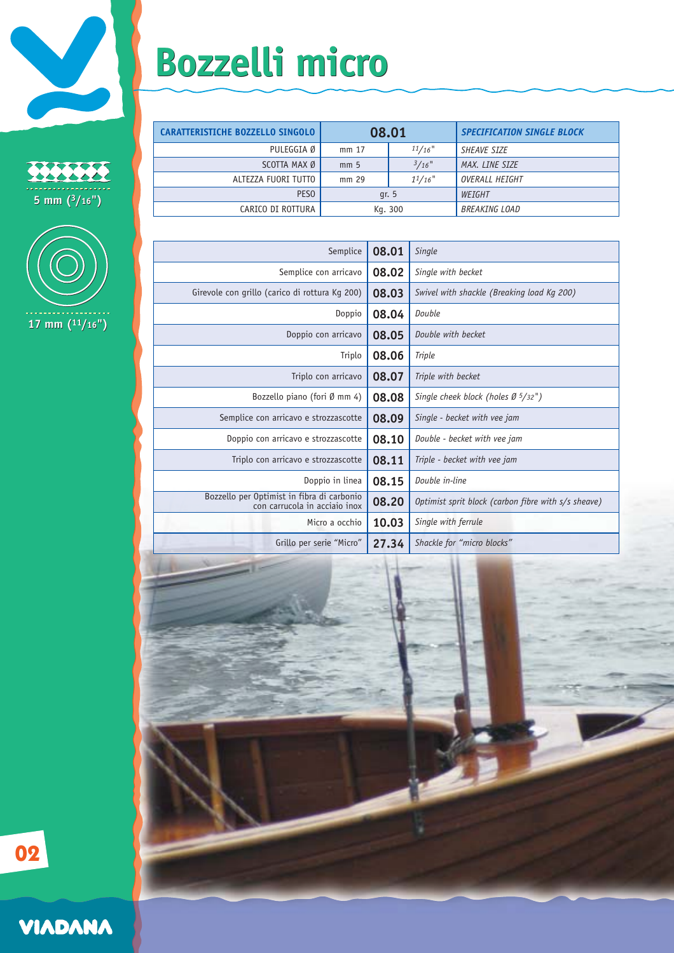

22222 **5 mm (3/16") 5 mm (3/16")**



## **Bozzelli micro Bozzelli micro**

| <b>CARATTERISTICHE BOZZELLO SINGOLO</b> | 08.01           |          | <b>SPECIFICATION SINGLE BLOCK</b> |
|-----------------------------------------|-----------------|----------|-----------------------------------|
| PULEGGIA Ø                              | mm 17           | 11/16"   | <b>SHEAVE SIZE</b>                |
| SCOTTA MAX Ø                            | mm <sub>5</sub> | $3/16$ " | MAX. LINE SIZE                    |
| ALTEZZA FUORI TUTTO                     | mm 29           | 11/16"   | OVERALL HEIGHT                    |
| PES <sub>0</sub>                        | qr. 5           |          | WEIGHT                            |
| CARICO DI ROTTURA                       | Kg. 300         |          | <b>BREAKING LOAD</b>              |

| Semplice                                                                    | 08.01 | Single                                              |
|-----------------------------------------------------------------------------|-------|-----------------------------------------------------|
| Semplice con arricavo                                                       | 08.02 | Single with becket                                  |
| Girevole con grillo (carico di rottura Kg 200)                              | 08.03 | Swivel with shackle (Breaking load Kg 200)          |
| Doppio                                                                      | 08.04 | Double                                              |
| Doppio con arricavo                                                         | 08.05 | Double with becket                                  |
| Triplo                                                                      | 08.06 | Triple                                              |
| Triplo con arricavo                                                         | 08.07 | Triple with becket                                  |
| Bozzello piano (fori $\emptyset$ mm 4)                                      | 08.08 | Single cheek block (holes $\varnothing$ 5/32")      |
| Semplice con arricavo e strozzascotte                                       | 08.09 | Single - becket with vee jam                        |
| Doppio con arricavo e strozzascotte                                         | 08.10 | Double - becket with vee jam                        |
| Triplo con arricavo e strozzascotte                                         | 08.11 | Triple - becket with vee jam                        |
| Doppio in linea                                                             | 08.15 | Double in-line                                      |
| Bozzello per Optimist in fibra di carbonio<br>con carrucola in acciaio inox | 08.20 | Optimist sprit block (carbon fibre with s/s sheave) |
| Micro a occhio                                                              | 10.03 | Single with ferrule                                 |
| Grillo per serie "Micro"                                                    | 27.34 | Shackle for "micro blocks"                          |
|                                                                             |       |                                                     |



**02**